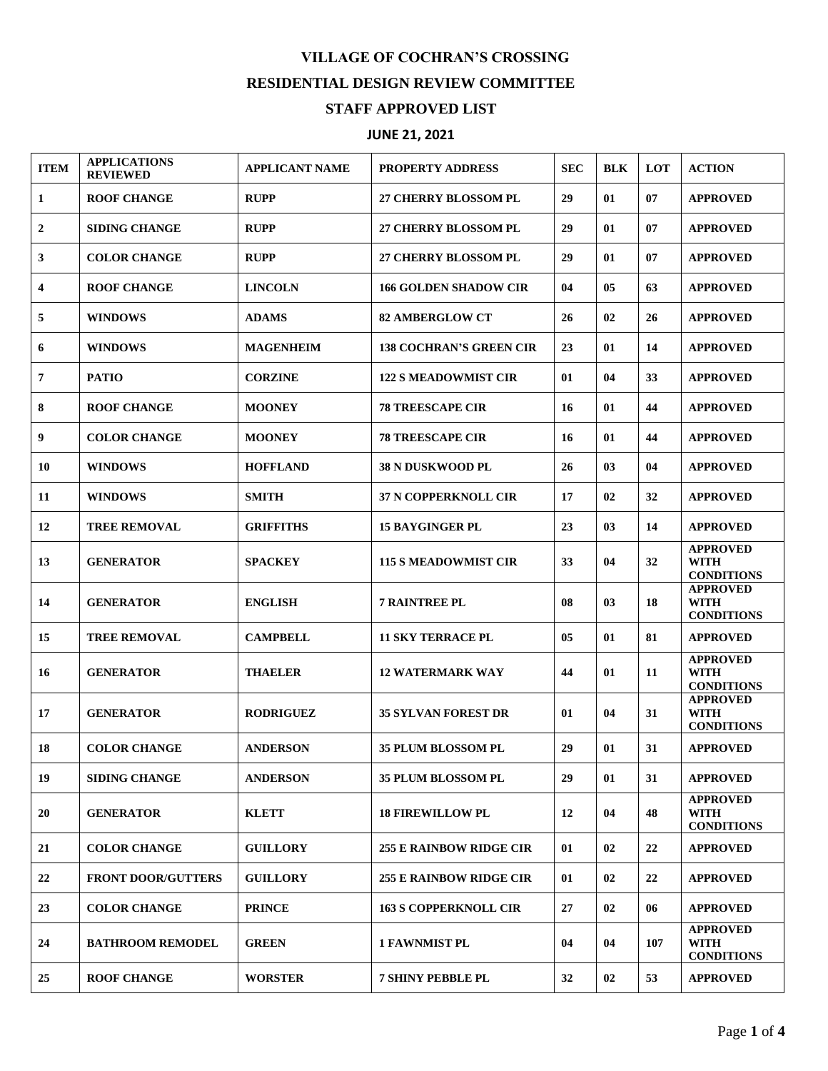## **VILLAGE OF COCHRAN'S CROSSING RESIDENTIAL DESIGN REVIEW COMMITTEE STAFF APPROVED LIST**

## **JUNE 21, 2021**

| <b>ITEM</b> | <b>APPLICATIONS</b><br><b>REVIEWED</b> | <b>APPLICANT NAME</b> | <b>PROPERTY ADDRESS</b>        | <b>SEC</b> | <b>BLK</b> | <b>LOT</b> | <b>ACTION</b>                                       |
|-------------|----------------------------------------|-----------------------|--------------------------------|------------|------------|------------|-----------------------------------------------------|
| 1           | <b>ROOF CHANGE</b>                     | <b>RUPP</b>           | <b>27 CHERRY BLOSSOM PL</b>    | 29         | 01         | 07         | <b>APPROVED</b>                                     |
| 2           | <b>SIDING CHANGE</b>                   | <b>RUPP</b>           | <b>27 CHERRY BLOSSOM PL</b>    | 29         | 01         | 07         | <b>APPROVED</b>                                     |
| 3           | <b>COLOR CHANGE</b>                    | <b>RUPP</b>           | <b>27 CHERRY BLOSSOM PL</b>    | 29         | 01         | 07         | <b>APPROVED</b>                                     |
| 4           | <b>ROOF CHANGE</b>                     | <b>LINCOLN</b>        | <b>166 GOLDEN SHADOW CIR</b>   | 04         | 05         | 63         | <b>APPROVED</b>                                     |
| 5           | <b>WINDOWS</b>                         | <b>ADAMS</b>          | <b>82 AMBERGLOW CT</b>         | 26         | 02         | 26         | <b>APPROVED</b>                                     |
| 6           | <b>WINDOWS</b>                         | <b>MAGENHEIM</b>      | <b>138 COCHRAN'S GREEN CIR</b> | 23         | 01         | 14         | <b>APPROVED</b>                                     |
| 7           | <b>PATIO</b>                           | <b>CORZINE</b>        | <b>122 S MEADOWMIST CIR</b>    | 01         | 04         | 33         | <b>APPROVED</b>                                     |
| 8           | <b>ROOF CHANGE</b>                     | <b>MOONEY</b>         | <b>78 TREESCAPE CIR</b>        | 16         | 01         | 44         | <b>APPROVED</b>                                     |
| 9           | <b>COLOR CHANGE</b>                    | <b>MOONEY</b>         | <b>78 TREESCAPE CIR</b>        | 16         | 01         | 44         | <b>APPROVED</b>                                     |
| 10          | <b>WINDOWS</b>                         | <b>HOFFLAND</b>       | <b>38 N DUSKWOOD PL</b>        | 26         | 03         | 04         | <b>APPROVED</b>                                     |
| 11          | <b>WINDOWS</b>                         | <b>SMITH</b>          | <b>37 N COPPERKNOLL CIR</b>    | 17         | 02         | 32         | <b>APPROVED</b>                                     |
| 12          | <b>TREE REMOVAL</b>                    | <b>GRIFFITHS</b>      | <b>15 BAYGINGER PL</b>         | 23         | 03         | 14         | <b>APPROVED</b>                                     |
| 13          | <b>GENERATOR</b>                       | <b>SPACKEY</b>        | <b>115 S MEADOWMIST CIR</b>    | 33         | 04         | 32         | <b>APPROVED</b><br><b>WITH</b><br><b>CONDITIONS</b> |
| 14          | <b>GENERATOR</b>                       | <b>ENGLISH</b>        | <b>7 RAINTREE PL</b>           | 08         | 03         | 18         | <b>APPROVED</b><br>WITH<br><b>CONDITIONS</b>        |
| 15          | <b>TREE REMOVAL</b>                    | <b>CAMPBELL</b>       | <b>11 SKY TERRACE PL</b>       | 05         | 01         | 81         | <b>APPROVED</b>                                     |
| 16          | <b>GENERATOR</b>                       | <b>THAELER</b>        | <b>12 WATERMARK WAY</b>        | 44         | 01         | 11         | <b>APPROVED</b><br><b>WITH</b><br><b>CONDITIONS</b> |
| 17          | <b>GENERATOR</b>                       | <b>RODRIGUEZ</b>      | <b>35 SYLVAN FOREST DR</b>     | 01         | 04         | 31         | <b>APPROVED</b><br><b>WITH</b><br><b>CONDITIONS</b> |
| 18          | <b>COLOR CHANGE</b>                    | <b>ANDERSON</b>       | <b>35 PLUM BLOSSOM PL</b>      | 29         | 01         | 31         | <b>APPROVED</b>                                     |
| 19          | <b>SIDING CHANGE</b>                   | <b>ANDERSON</b>       | 35 PLUM BLOSSOM PL             | 29         | 01         | 31         | <b>APPROVED</b>                                     |
| 20          | <b>GENERATOR</b>                       | <b>KLETT</b>          | <b>18 FIREWILLOW PL</b>        | 12         | 04         | 48         | <b>APPROVED</b><br>WITH<br><b>CONDITIONS</b>        |
| 21          | <b>COLOR CHANGE</b>                    | <b>GUILLORY</b>       | <b>255 E RAINBOW RIDGE CIR</b> | 01         | 02         | 22         | <b>APPROVED</b>                                     |
| 22          | <b>FRONT DOOR/GUTTERS</b>              | <b>GUILLORY</b>       | <b>255 E RAINBOW RIDGE CIR</b> | 01         | 02         | 22         | <b>APPROVED</b>                                     |
| 23          | <b>COLOR CHANGE</b>                    | <b>PRINCE</b>         | <b>163 S COPPERKNOLL CIR</b>   | 27         | 02         | 06         | <b>APPROVED</b>                                     |
| 24          | <b>BATHROOM REMODEL</b>                | <b>GREEN</b>          | <b>1 FAWNMIST PL</b>           | 04         | 04         | 107        | <b>APPROVED</b><br>WITH<br><b>CONDITIONS</b>        |
| 25          | <b>ROOF CHANGE</b>                     | <b>WORSTER</b>        | <b>7 SHINY PEBBLE PL</b>       | 32         | 02         | 53         | <b>APPROVED</b>                                     |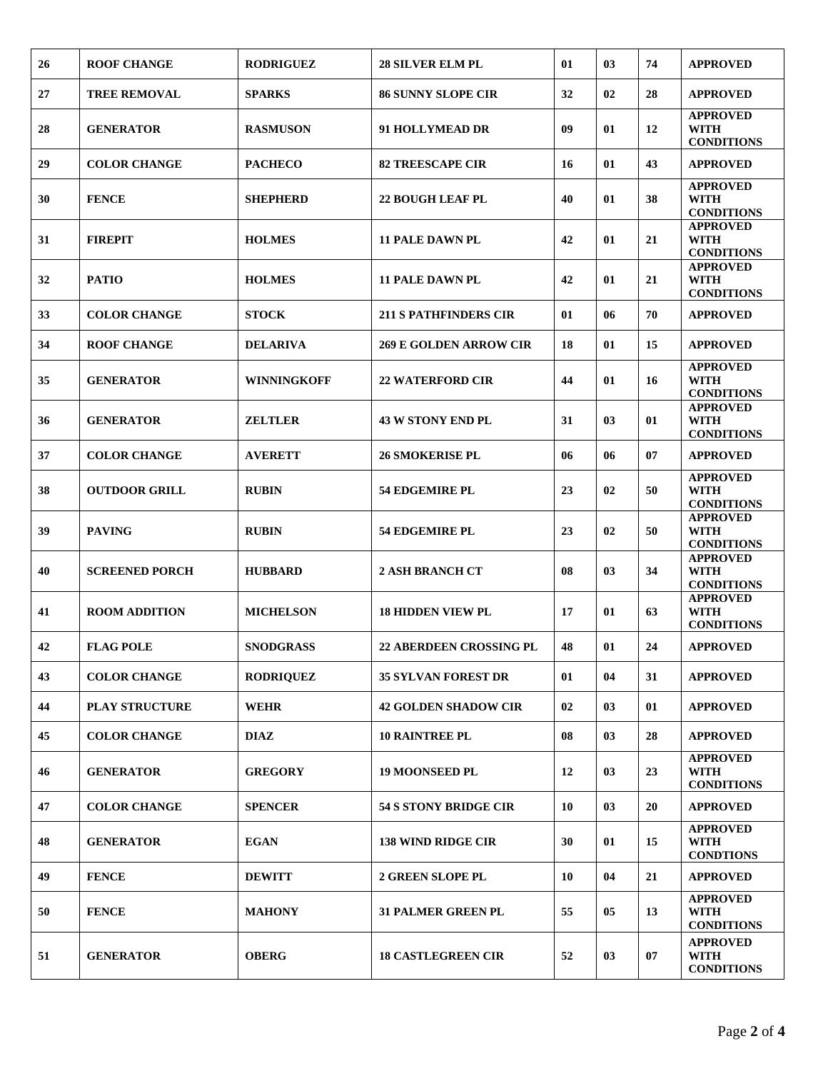| 26 | <b>ROOF CHANGE</b>    | <b>RODRIGUEZ</b>   | <b>28 SILVER ELM PL</b>        | 01 | 03 | 74 | <b>APPROVED</b>                                     |
|----|-----------------------|--------------------|--------------------------------|----|----|----|-----------------------------------------------------|
| 27 | <b>TREE REMOVAL</b>   | <b>SPARKS</b>      | <b>86 SUNNY SLOPE CIR</b>      | 32 | 02 | 28 | <b>APPROVED</b>                                     |
| 28 | <b>GENERATOR</b>      | <b>RASMUSON</b>    | 91 HOLLYMEAD DR                | 09 | 01 | 12 | <b>APPROVED</b><br><b>WITH</b><br><b>CONDITIONS</b> |
| 29 | <b>COLOR CHANGE</b>   | <b>PACHECO</b>     | <b>82 TREESCAPE CIR</b>        | 16 | 01 | 43 | <b>APPROVED</b>                                     |
| 30 | <b>FENCE</b>          | <b>SHEPHERD</b>    | <b>22 BOUGH LEAF PL</b>        | 40 | 01 | 38 | <b>APPROVED</b><br><b>WITH</b><br><b>CONDITIONS</b> |
| 31 | <b>FIREPIT</b>        | <b>HOLMES</b>      | <b>11 PALE DAWN PL</b>         | 42 | 01 | 21 | <b>APPROVED</b><br><b>WITH</b><br><b>CONDITIONS</b> |
| 32 | <b>PATIO</b>          | <b>HOLMES</b>      | <b>11 PALE DAWN PL</b>         | 42 | 01 | 21 | <b>APPROVED</b><br><b>WITH</b><br><b>CONDITIONS</b> |
| 33 | <b>COLOR CHANGE</b>   | <b>STOCK</b>       | <b>211 S PATHFINDERS CIR</b>   | 01 | 06 | 70 | <b>APPROVED</b>                                     |
| 34 | <b>ROOF CHANGE</b>    | <b>DELARIVA</b>    | <b>269 E GOLDEN ARROW CIR</b>  | 18 | 01 | 15 | <b>APPROVED</b>                                     |
| 35 | <b>GENERATOR</b>      | <b>WINNINGKOFF</b> | <b>22 WATERFORD CIR</b>        | 44 | 01 | 16 | <b>APPROVED</b><br><b>WITH</b><br><b>CONDITIONS</b> |
| 36 | <b>GENERATOR</b>      | <b>ZELTLER</b>     | <b>43 W STONY END PL</b>       | 31 | 03 | 01 | <b>APPROVED</b><br><b>WITH</b><br><b>CONDITIONS</b> |
| 37 | <b>COLOR CHANGE</b>   | <b>AVERETT</b>     | <b>26 SMOKERISE PL</b>         | 06 | 06 | 07 | <b>APPROVED</b>                                     |
| 38 | <b>OUTDOOR GRILL</b>  | <b>RUBIN</b>       | <b>54 EDGEMIRE PL</b>          | 23 | 02 | 50 | <b>APPROVED</b><br><b>WITH</b><br><b>CONDITIONS</b> |
| 39 | <b>PAVING</b>         | <b>RUBIN</b>       | <b>54 EDGEMIRE PL</b>          | 23 | 02 | 50 | <b>APPROVED</b><br><b>WITH</b><br><b>CONDITIONS</b> |
| 40 | <b>SCREENED PORCH</b> | <b>HUBBARD</b>     | <b>2 ASH BRANCH CT</b>         | 08 | 03 | 34 | <b>APPROVED</b><br><b>WITH</b><br><b>CONDITIONS</b> |
| 41 | <b>ROOM ADDITION</b>  | <b>MICHELSON</b>   | <b>18 HIDDEN VIEW PL</b>       | 17 | 01 | 63 | <b>APPROVED</b><br><b>WITH</b><br><b>CONDITIONS</b> |
| 42 | <b>FLAG POLE</b>      | <b>SNODGRASS</b>   | <b>22 ABERDEEN CROSSING PL</b> | 48 | 01 | 24 | <b>APPROVED</b>                                     |
| 43 | <b>COLOR CHANGE</b>   | <b>RODRIQUEZ</b>   | <b>35 SYLVAN FOREST DR</b>     | 01 | 04 | 31 | <b>APPROVED</b>                                     |
| 44 | <b>PLAY STRUCTURE</b> | <b>WEHR</b>        | <b>42 GOLDEN SHADOW CIR</b>    | 02 | 03 | 01 | <b>APPROVED</b>                                     |
| 45 | <b>COLOR CHANGE</b>   | <b>DIAZ</b>        | <b>10 RAINTREE PL</b>          | 08 | 03 | 28 | <b>APPROVED</b>                                     |
| 46 | <b>GENERATOR</b>      | <b>GREGORY</b>     | <b>19 MOONSEED PL</b>          | 12 | 03 | 23 | <b>APPROVED</b><br><b>WITH</b><br><b>CONDITIONS</b> |
| 47 | <b>COLOR CHANGE</b>   | <b>SPENCER</b>     | <b>54 S STONY BRIDGE CIR</b>   | 10 | 03 | 20 | <b>APPROVED</b>                                     |
| 48 | <b>GENERATOR</b>      | <b>EGAN</b>        | <b>138 WIND RIDGE CIR</b>      | 30 | 01 | 15 | <b>APPROVED</b><br><b>WITH</b><br><b>CONDTIONS</b>  |
| 49 | <b>FENCE</b>          | <b>DEWITT</b>      | <b>2 GREEN SLOPE PL</b>        | 10 | 04 | 21 | <b>APPROVED</b>                                     |
| 50 | <b>FENCE</b>          | <b>MAHONY</b>      | <b>31 PALMER GREEN PL</b>      | 55 | 05 | 13 | <b>APPROVED</b><br><b>WITH</b><br><b>CONDITIONS</b> |
| 51 | <b>GENERATOR</b>      | <b>OBERG</b>       | <b>18 CASTLEGREEN CIR</b>      | 52 | 03 | 07 | <b>APPROVED</b><br><b>WITH</b><br><b>CONDITIONS</b> |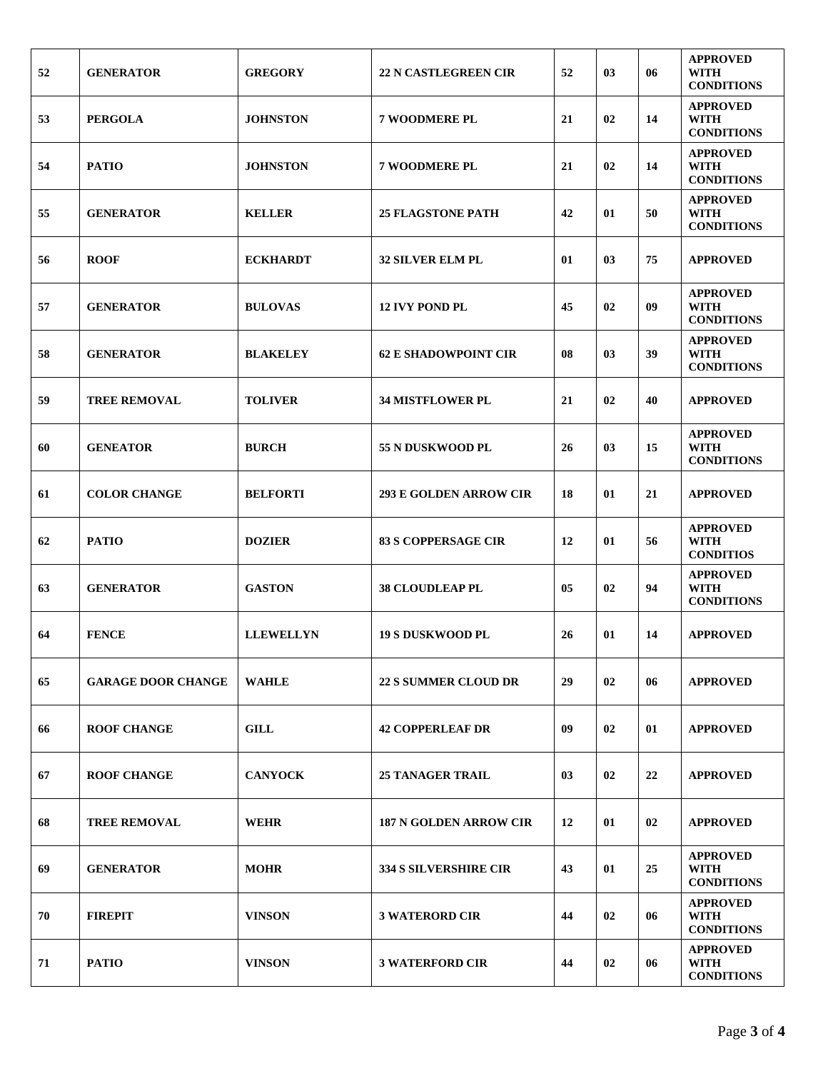| 52 | <b>GENERATOR</b>          | <b>GREGORY</b>   | <b>22 N CASTLEGREEN CIR</b>   | 52 | 03 | 06 | <b>APPROVED</b><br>WITH<br><b>CONDITIONS</b>        |
|----|---------------------------|------------------|-------------------------------|----|----|----|-----------------------------------------------------|
| 53 | <b>PERGOLA</b>            | <b>JOHNSTON</b>  | <b>7 WOODMERE PL</b>          | 21 | 02 | 14 | <b>APPROVED</b><br><b>WITH</b><br><b>CONDITIONS</b> |
| 54 | <b>PATIO</b>              | <b>JOHNSTON</b>  | <b>7 WOODMERE PL</b>          | 21 | 02 | 14 | <b>APPROVED</b><br><b>WITH</b><br><b>CONDITIONS</b> |
| 55 | <b>GENERATOR</b>          | <b>KELLER</b>    | <b>25 FLAGSTONE PATH</b>      | 42 | 01 | 50 | <b>APPROVED</b><br><b>WITH</b><br><b>CONDITIONS</b> |
| 56 | <b>ROOF</b>               | <b>ECKHARDT</b>  | <b>32 SILVER ELM PL</b>       | 01 | 03 | 75 | <b>APPROVED</b>                                     |
| 57 | <b>GENERATOR</b>          | <b>BULOVAS</b>   | <b>12 IVY POND PL</b>         | 45 | 02 | 09 | <b>APPROVED</b><br><b>WITH</b><br><b>CONDITIONS</b> |
| 58 | <b>GENERATOR</b>          | <b>BLAKELEY</b>  | <b>62 E SHADOWPOINT CIR</b>   | 08 | 03 | 39 | <b>APPROVED</b><br><b>WITH</b><br><b>CONDITIONS</b> |
| 59 | <b>TREE REMOVAL</b>       | <b>TOLIVER</b>   | <b>34 MISTFLOWER PL</b>       | 21 | 02 | 40 | <b>APPROVED</b>                                     |
| 60 | <b>GENEATOR</b>           | <b>BURCH</b>     | <b>55 N DUSKWOOD PL</b>       | 26 | 03 | 15 | <b>APPROVED</b><br><b>WITH</b><br><b>CONDITIONS</b> |
| 61 | <b>COLOR CHANGE</b>       | <b>BELFORTI</b>  | <b>293 E GOLDEN ARROW CIR</b> | 18 | 01 | 21 | <b>APPROVED</b>                                     |
| 62 | <b>PATIO</b>              | <b>DOZIER</b>    | <b>83 S COPPERSAGE CIR</b>    | 12 | 01 | 56 | <b>APPROVED</b><br><b>WITH</b><br><b>CONDITIOS</b>  |
| 63 | <b>GENERATOR</b>          | <b>GASTON</b>    | <b>38 CLOUDLEAP PL</b>        | 05 | 02 | 94 | <b>APPROVED</b><br><b>WITH</b><br><b>CONDITIONS</b> |
| 64 | <b>FENCE</b>              | <b>LLEWELLYN</b> | <b>19 S DUSKWOOD PL</b>       | 26 | 01 | 14 | <b>APPROVED</b>                                     |
| 65 | <b>GARAGE DOOR CHANGE</b> | <b>WAHLE</b>     | <b>22 S SUMMER CLOUD DR</b>   | 29 | 02 | 06 | <b>APPROVED</b>                                     |
| 66 | <b>ROOF CHANGE</b>        | <b>GILL</b>      | <b>42 COPPERLEAF DR</b>       | 09 | 02 | 01 | <b>APPROVED</b>                                     |
| 67 | <b>ROOF CHANGE</b>        | <b>CANYOCK</b>   | <b>25 TANAGER TRAIL</b>       | 03 | 02 | 22 | <b>APPROVED</b>                                     |
| 68 | <b>TREE REMOVAL</b>       | <b>WEHR</b>      | <b>187 N GOLDEN ARROW CIR</b> | 12 | 01 | 02 | <b>APPROVED</b>                                     |
| 69 | <b>GENERATOR</b>          | <b>MOHR</b>      | <b>334 S SILVERSHIRE CIR</b>  | 43 | 01 | 25 | <b>APPROVED</b><br>WITH<br><b>CONDITIONS</b>        |
| 70 | <b>FIREPIT</b>            | <b>VINSON</b>    | <b>3 WATERORD CIR</b>         | 44 | 02 | 06 | <b>APPROVED</b><br><b>WITH</b><br><b>CONDITIONS</b> |
| 71 | <b>PATIO</b>              | <b>VINSON</b>    | <b>3 WATERFORD CIR</b>        | 44 | 02 | 06 | <b>APPROVED</b><br>WITH<br><b>CONDITIONS</b>        |